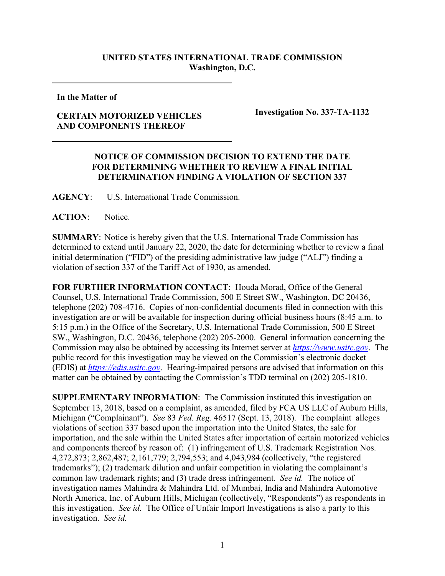## **UNITED STATES INTERNATIONAL TRADE COMMISSION Washington, D.C.**

**In the Matter of**

## **CERTAIN MOTORIZED VEHICLES AND COMPONENTS THEREOF**

**Investigation No. 337-TA-1132**

## **NOTICE OF COMMISSION DECISION TO EXTEND THE DATE FOR DETERMINING WHETHER TO REVIEW A FINAL INITIAL DETERMINATION FINDING A VIOLATION OF SECTION 337**

**AGENCY**: U.S. International Trade Commission.

**ACTION**: Notice.

**SUMMARY**: Notice is hereby given that the U.S. International Trade Commission has determined to extend until January 22, 2020, the date for determining whether to review a final initial determination ("FID") of the presiding administrative law judge ("ALJ") finding a violation of section 337 of the Tariff Act of 1930, as amended.

**FOR FURTHER INFORMATION CONTACT**: Houda Morad, Office of the General Counsel, U.S. International Trade Commission, 500 E Street SW., Washington, DC 20436, telephone (202) 708-4716. Copies of non-confidential documents filed in connection with this investigation are or will be available for inspection during official business hours (8:45 a.m. to 5:15 p.m.) in the Office of the Secretary, U.S. International Trade Commission, 500 E Street SW., Washington, D.C. 20436, telephone (202) 205-2000. General information concerning the Commission may also be obtained by accessing its Internet server at *[https://www.usitc.gov](https://www.usitc.gov/)*. The public record for this investigation may be viewed on the Commission's electronic docket (EDIS) at *[https://edis.usitc.gov](http://edis.usitc.gov/)*. Hearing-impaired persons are advised that information on this matter can be obtained by contacting the Commission's TDD terminal on (202) 205-1810.

**SUPPLEMENTARY INFORMATION**: The Commission instituted this investigation on September 13, 2018, based on a complaint, as amended, filed by FCA US LLC of Auburn Hills, Michigan ("Complainant"). *See* 83 *Fed. Reg.* 46517 (Sept. 13, 2018). The complaint alleges violations of section 337 based upon the importation into the United States, the sale for importation, and the sale within the United States after importation of certain motorized vehicles and components thereof by reason of: (1) infringement of U.S. Trademark Registration Nos. 4,272,873; 2,862,487; 2,161,779; 2,794,553; and 4,043,984 (collectively, "the registered trademarks"); (2) trademark dilution and unfair competition in violating the complainant's common law trademark rights; and (3) trade dress infringement. *See id.* The notice of investigation names Mahindra & Mahindra Ltd. of Mumbai, India and Mahindra Automotive North America, Inc. of Auburn Hills, Michigan (collectively, "Respondents") as respondents in this investigation. *See id.* The Office of Unfair Import Investigations is also a party to this investigation. *See id.*